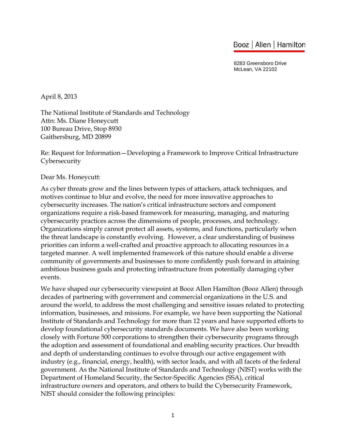# Booz | Allen | Hamilton

8283 Greensboro Drive McLean, VA 22102

April 8, 2013

The National Institute of Standards and Technology Attn: Ms. Diane Honeycutt 100 Bureau Drive, Stop 8930 Gaithersburg, MD 20899

Re: Request for Information—Developing a Framework to Improve Critical Infrastructure Cybersecurity

Dear Ms. Honeycutt:

As cyber threats grow and the lines between types of attackers, attack techniques, and motives continue to blur and evolve, the need for more innovative approaches to cybersecurity increases. The nation's critical infrastructure sectors and component organizations require a risk-based framework for measuring, managing, and maturing cybersecurity practices across the dimensions of people, processes, and technology. Organizations simply cannot protect all assets, systems, and functions, particularly when the threat landscape is constantly evolving. However, a clear understanding of business priorities can inform a well-crafted and proactive approach to allocating resources in a targeted manner. A well implemented framework of this nature should enable a diverse community of governments and businesses to more confidently push forward in attaining ambitious business goals and protecting infrastructure from potentially damaging cyber events.

 Institute of Standards and Technology for more than 12 years and have supported efforts to develop foundational cybersecurity standards documents. We have also been working We have shaped our cybersecurity viewpoint at Booz Allen Hamilton (Booz Allen) through decades of partnering with government and commercial organizations in the U.S. and around the world, to address the most challenging and sensitive issues related to protecting information, businesses, and missions. For example, we have been supporting the National closely with Fortune 500 corporations to strengthen their cybersecurity programs through the adoption and assessment of foundational and enabling security practices. Our breadth and depth of understanding continues to evolve through our active engagement with industry (e.g., financial, energy, health), with sector leads, and with all facets of the federal government. As the National Institute of Standards and Technology (NIST) works with the Department of Homeland Security, the Sector-Specific Agencies (SSA), critical infrastructure owners and operators, and others to build the Cybersecurity Framework, NIST should consider the following principles: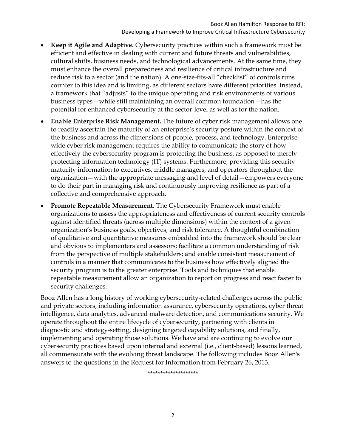- **Keep it Agile and Adaptive.** Cybersecurity practices within such a framework must be efficient and effective in dealing with current and future threats and vulnerabilities, cultural shifts, business needs, and technological advancements. At the same time, they must enhance the overall preparedness and resilience of critical infrastructure and reduce risk to a sector (and the nation). A one-size-fits-all "checklist" of controls runs counter to this idea and is limiting, as different sectors have different priorities. Instead, a framework that "adjusts" to the unique operating and risk environments of various business types—while still maintaining an overall common foundation—has the potential for enhanced cybersecurity at the sector-level as well as for the nation.
- **Enable Enterprise Risk Management.** The future of cyber risk management allows one to readily ascertain the maturity of an enterprise's security posture within the context of the business and across the dimensions of people, process, and technology. Enterprisewide cyber risk management requires the ability to communicate the story of how effectively the cybersecurity program is protecting the business, as opposed to merely protecting information technology (IT) systems. Furthermore, providing this security maturity information to executives, middle managers, and operators throughout the organization—with the appropriate messaging and level of detail—empowers everyone to do their part in managing risk and continuously improving resilience as part of a collective and comprehensive approach.
- **Promote Repeatable Measurement.** The Cybersecurity Framework must enable organizations to assess the appropriateness and effectiveness of current security controls against identified threats (across multiple dimensions) within the context of a given organization's business goals, objectives, and risk tolerance. A thoughtful combination of qualitative and quantitative measures embedded into the framework should be clear and obvious to implementers and assessors; facilitate a common understanding of risk from the perspective of multiple stakeholders; and enable consistent measurement of controls in a manner that communicates to the business how effectively aligned the security program is to the greater enterprise. Tools and techniques that enable repeatable measurement allow an organization to report on progress and react faster to security challenges.

Booz Allen has a long history of working cybersecurity-related challenges across the public and private sectors, including information assurance, cybersecurity operations, cyber threat intelligence, data analytics, advanced malware detection, and communications security. We operate throughout the entire lifecycle of cybersecurity, partnering with clients in diagnostic and strategy-setting, designing targeted capability solutions, and finally, implementing and operating those solutions. We have and are continuing to evolve our cybersecurity practices based upon internal and external (i.e., client-based) lessons learned, all commensurate with the evolving threat landscape. The following includes Booz Allen's answers to the questions in the Request for Information from February 26, 2013.

\*\*\*\*\*\*\*\*\*\*\*\*\*\*\*\*\*\*\*\*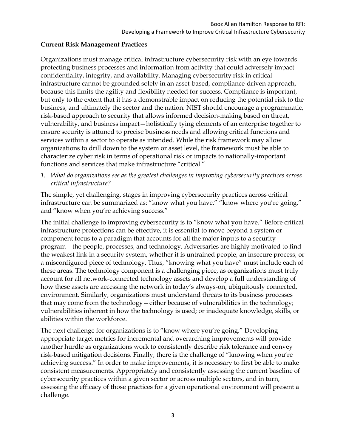#### **Current Risk Management Practices**

Organizations must manage critical infrastructure cybersecurity risk with an eye towards protecting business processes and information from activity that could adversely impact confidentiality, integrity, and availability. Managing cybersecurity risk in critical infrastructure cannot be grounded solely in an asset-based, compliance-driven approach, because this limits the agility and flexibility needed for success. Compliance is important, but only to the extent that it has a demonstrable impact on reducing the potential risk to the business, and ultimately the sector and the nation. NIST should encourage a programmatic, risk-based approach to security that allows informed decision-making based on threat, vulnerability, and business impact—holistically tying elements of an enterprise together to ensure security is attuned to precise business needs and allowing critical functions and services within a sector to operate as intended. While the risk framework may allow organizations to drill down to the system or asset level, the framework must be able to characterize cyber risk in terms of operational risk or impacts to nationally-important functions and services that make infrastructure "critical."

*1. What do organizations see as the greatest challenges in improving cybersecurity practices across critical infrastructure?* 

The simple, yet challenging, stages in improving cybersecurity practices across critical infrastructure can be summarized as: "know what you have," "know where you're going," and "know when you're achieving success."

The initial challenge to improving cybersecurity is to "know what you have." Before critical infrastructure protections can be effective, it is essential to move beyond a system or component focus to a paradigm that accounts for all the major inputs to a security program—the people, processes, and technology. Adversaries are highly motivated to find the weakest link in a security system, whether it is untrained people, an insecure process, or a misconfigured piece of technology. Thus, "knowing what you have" must include each of these areas. The technology component is a challenging piece, as organizations must truly account for all network-connected technology assets and develop a full understanding of how these assets are accessing the network in today's always-on, ubiquitously connected, environment. Similarly, organizations must understand threats to its business processes that may come from the technology—either because of vulnerabilities in the technology; vulnerabilities inherent in how the technology is used; or inadequate knowledge, skills, or abilities within the workforce.

The next challenge for organizations is to "know where you're going." Developing appropriate target metrics for incremental and overarching improvements will provide another hurdle as organizations work to consistently describe risk tolerance and convey risk-based mitigation decisions. Finally, there is the challenge of "knowing when you're achieving success." In order to make improvements, it is necessary to first be able to make consistent measurements. Appropriately and consistently assessing the current baseline of cybersecurity practices within a given sector or across multiple sectors, and in turn, assessing the efficacy of those practices for a given operational environment will present a challenge.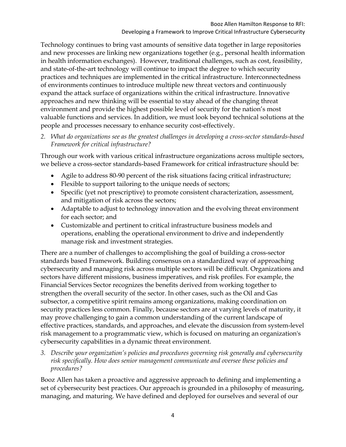Technology continues to bring vast amounts of sensitive data together in large repositories and new processes are linking new organizations together (e.g., personal health information in health information exchanges). However, traditional challenges, such as cost, feasibility, and state-of-the-art technology will continue to impact the degree to which security practices and techniques are implemented in the critical infrastructure. Interconnectedness of environments continues to introduce multiple new threat vectors and continuously expand the attack surface of organizations within the critical infrastructure. Innovative approaches and new thinking will be essential to stay ahead of the changing threat environment and provide the highest possible level of security for the nation's most valuable functions and services. In addition, we must look beyond technical solutions at the people and processes necessary to enhance security cost-effectively.

*2. What do organizations see as the greatest challenges in developing a cross-sector standards-based Framework for critical infrastructure?* 

Through our work with various critical infrastructure organizations across multiple sectors, we believe a cross-sector standards-based Framework for critical infrastructure should be:

- Agile to address 80-90 percent of the risk situations facing critical infrastructure;
- Flexible to support tailoring to the unique needs of sectors;
- Specific (yet not prescriptive) to promote consistent characterization, assessment, and mitigation of risk across the sectors;
- Adaptable to adjust to technology innovation and the evolving threat environment for each sector; and
- Customizable and pertinent to critical infrastructure business models and operations, enabling the operational environment to drive and independently manage risk and investment strategies.

There are a number of challenges to accomplishing the goal of building a cross-sector standards based Framework. Building consensus on a standardized way of approaching cybersecurity and managing risk across multiple sectors will be difficult. Organizations and sectors have different missions, business imperatives, and risk profiles. For example, the Financial Services Sector recognizes the benefits derived from working together to strengthen the overall security of the sector. In other cases, such as the Oil and Gas subsector, a competitive spirit remains among organizations, making coordination on security practices less common. Finally, because sectors are at varying levels of maturity, it may prove challenging to gain a common understanding of the current landscape of effective practices, standards, and approaches, and elevate the discussion from system-level risk management to a programmatic view, which is focused on maturing an organization's cybersecurity capabilities in a dynamic threat environment.

*3. Describe your organization's policies and procedures governing risk generally and cybersecurity risk specifically. How does senior management communicate and oversee these policies and procedures?* 

Booz Allen has taken a proactive and aggressive approach to defining and implementing a set of cybersecurity best practices. Our approach is grounded in a philosophy of measuring, managing, and maturing. We have defined and deployed for ourselves and several of our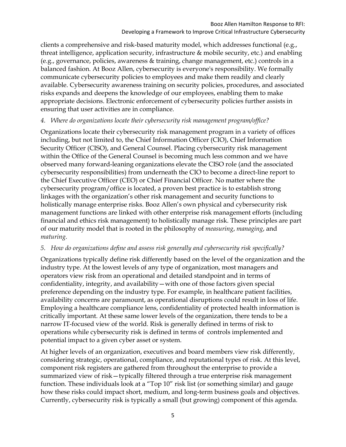clients a comprehensive and risk-based maturity model, which addresses functional (e.g., threat intelligence, application security, infrastructure & mobile security, etc.) and enabling (e.g., governance, policies, awareness & training, change management, etc.) controls in a balanced fashion. At Booz Allen, cybersecurity is everyone's responsibility. We formally communicate cybersecurity policies to employees and make them readily and clearly available. Cybersecurity awareness training on security policies, procedures, and associated risks expands and deepens the knowledge of our employees, enabling them to make appropriate decisions. Electronic enforcement of cybersecurity policies further assists in ensuring that user activities are in compliance.

#### *4. Where do organizations locate their cybersecurity risk management program/office?*

Organizations locate their cybersecurity risk management program in a variety of offices including, but not limited to, the Chief Information Officer (CIO), Chief Information Security Officer (CISO), and General Counsel. Placing cybersecurity risk management within the Office of the General Counsel is becoming much less common and we have observed many forward-leaning organizations elevate the CISO role (and the associated cybersecurity responsibilities) from underneath the CIO to become a direct-line report to the Chief Executive Officer (CEO) or Chief Financial Officer. No matter where the cybersecurity program/office is located, a proven best practice is to establish strong linkages with the organization's other risk management and security functions to holistically manage enterprise risks. Booz Allen's own physical and cybersecurity risk management functions are linked with other enterprise risk management efforts (including financial and ethics risk management) to holistically manage risk. These principles are part of our maturity model that is rooted in the philosophy of *measuring*, *managing*, and *maturing*.

# *5. How do organizations define and assess risk generally and cybersecurity risk specifically?*

Organizations typically define risk differently based on the level of the organization and the industry type. At the lowest levels of any type of organization, most managers and operators view risk from an operational and detailed standpoint and in terms of confidentiality, integrity, and availability—with one of those factors given special preference depending on the industry type. For example, in healthcare patient facilities, availability concerns are paramount, as operational disruptions could result in loss of life. Employing a healthcare compliance lens, confidentiality of protected health information is critically important. At these same lower levels of the organization, there tends to be a narrow IT-focused view of the world. Risk is generally defined in terms of risk to operations while cybersecurity risk is defined in terms of controls implemented and potential impact to a given cyber asset or system.

At higher levels of an organization, executives and board members view risk differently, considering strategic, operational, compliance, and reputational types of risk. At this level, component risk registers are gathered from throughout the enterprise to provide a summarized view of risk—typically filtered through a true enterprise risk management function. These individuals look at a "Top 10" risk list (or something similar) and gauge how these risks could impact short, medium, and long-term business goals and objectives. Currently, cybersecurity risk is typically a small (but growing) component of this agenda.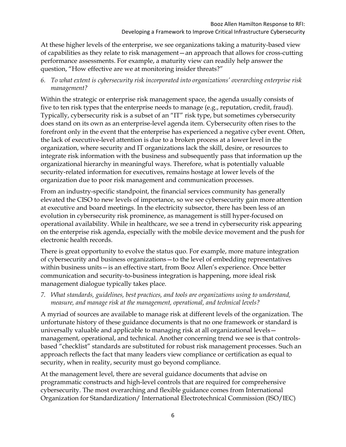At these higher levels of the enterprise, we see organizations taking a maturity-based view of capabilities as they relate to risk management—an approach that allows for cross-cutting performance assessments. For example, a maturity view can readily help answer the question, "How effective are we at monitoring insider threats?"

*6. To what extent is cybersecurity risk incorporated into organizations' overarching enterprise risk management?* 

Within the strategic or enterprise risk management space, the agenda usually consists of five to ten risk types that the enterprise needs to manage (e.g., reputation, credit, fraud). Typically, cybersecurity risk is a subset of an "IT" risk type, but sometimes cybersecurity does stand on its own as an enterprise-level agenda item. Cybersecurity often rises to the forefront only in the event that the enterprise has experienced a negative cyber event. Often, the lack of executive-level attention is due to a broken process at a lower level in the organization, where security and IT organizations lack the skill, desire, or resources to integrate risk information with the business and subsequently pass that information up the organizational hierarchy in meaningful ways. Therefore, what is potentially valuable security-related information for executives, remains hostage at lower levels of the organization due to poor risk management and communication processes.

From an industry-specific standpoint, the financial services community has generally elevated the CISO to new levels of importance, so we see cybersecurity gain more attention at executive and board meetings. In the electricity subsector, there has been less of an evolution in cybersecurity risk prominence, as management is still hyper-focused on operational availability. While in healthcare, we see a trend in cybersecurity risk appearing on the enterprise risk agenda, especially with the mobile device movement and the push for electronic health records.

There is great opportunity to evolve the status quo. For example, more mature integration of cybersecurity and business organizations—to the level of embedding representatives within business units—is an effective start, from Booz Allen's experience. Once better communication and security-to-business integration is happening, more ideal risk management dialogue typically takes place.

*7. What standards, guidelines, best practices, and tools are organizations using to understand, measure, and manage risk at the management, operational, and technical levels?* 

A myriad of sources are available to manage risk at different levels of the organization. The unfortunate history of these guidance documents is that no one framework or standard is universally valuable and applicable to managing risk at all organizational levels management, operational, and technical. Another concerning trend we see is that controlsbased "checklist" standards are substituted for robust risk management processes. Such an approach reflects the fact that many leaders view compliance or certification as equal to security, when in reality, security must go beyond compliance.

At the management level, there are several guidance documents that advise on programmatic constructs and high-level controls that are required for comprehensive cybersecurity. The most overarching and flexible guidance comes from International Organization for Standardization/ International Electrotechnical Commission (ISO/IEC)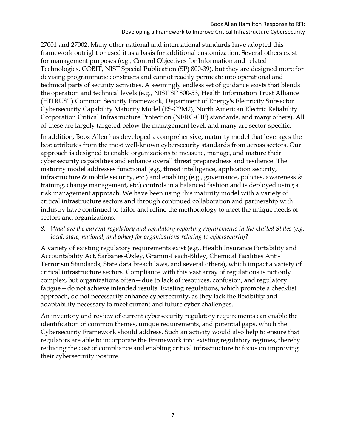#### Booz Allen Hamilton Response to RFI: Developing a Framework to Improve Critical Infrastructure Cybersecurity

 (HITRUST) Common Security Framework, Department of Energy's Electricity Subsector 27001 and 27002. Many other national and international standards have adopted this framework outright or used it as a basis for additional customization. Several others exist for management purposes (e.g., Control Objectives for Information and related Technologies, COBIT, NIST Special Publication (SP) 800-39), but they are designed more for devising programmatic constructs and cannot readily permeate into operational and technical parts of security activities. A seemingly endless set of guidance exists that blends the operation and technical levels (e.g., NIST SP 800-53, Health Information Trust Alliance Cybersecurity Capability Maturity Model (ES-C2M2), North American Electric Reliability Corporation Critical Infrastructure Protection (NERC-CIP) standards, and many others). All of these are largely targeted below the management level, and many are sector-specific.

In addition, Booz Allen has developed a comprehensive, maturity model that leverages the best attributes from the most well-known cybersecurity standards from across sectors. Our approach is designed to enable organizations to measure, manage, and mature their cybersecurity capabilities and enhance overall threat preparedness and resilience. The maturity model addresses functional (e.g., threat intelligence, application security, infrastructure & mobile security, etc.) and enabling (e.g., governance, policies, awareness & training, change management, etc.) controls in a balanced fashion and is deployed using a risk management approach. We have been using this maturity model with a variety of critical infrastructure sectors and through continued collaboration and partnership with industry have continued to tailor and refine the methodology to meet the unique needs of sectors and organizations.

#### *8. What are the current regulatory and regulatory reporting requirements in the United States (e.g. local, state, national, and other) for organizations relating to cybersecurity?*

A variety of existing regulatory requirements exist (e.g., Health Insurance Portability and Accountability Act, Sarbanes-Oxley, Gramm-Leach-Bliley, Chemical Facilities Anti-Terrorism Standards, State data breach laws, and several others), which impact a variety of critical infrastructure sectors. Compliance with this vast array of regulations is not only complex, but organizations often—due to lack of resources, confusion, and regulatory fatigue—do not achieve intended results. Existing regulations, which promote a checklist approach, do not necessarily enhance cybersecurity, as they lack the flexibility and adaptability necessary to meet current and future cyber challenges.

An inventory and review of current cybersecurity regulatory requirements can enable the identification of common themes, unique requirements, and potential gaps, which the Cybersecurity Framework should address. Such an activity would also help to ensure that regulators are able to incorporate the Framework into existing regulatory regimes, thereby reducing the cost of compliance and enabling critical infrastructure to focus on improving their cybersecurity posture.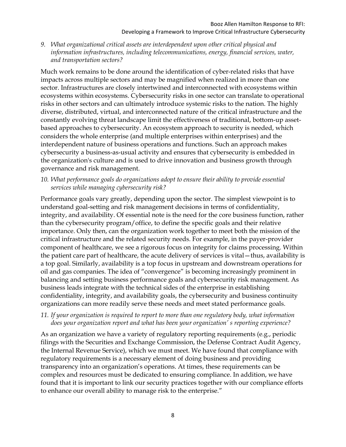*9. What organizational critical assets are interdependent upon other critical physical and information infrastructures, including telecommunications, energy, financial services, water, and transportation sectors?* 

Much work remains to be done around the identification of cyber-related risks that have impacts across multiple sectors and may be magnified when realized in more than one sector. Infrastructures are closely intertwined and interconnected with ecosystems within ecosystems within ecosystems. Cybersecurity risks in one sector can translate to operational risks in other sectors and can ultimately introduce systemic risks to the nation. The highly diverse, distributed, virtual, and interconnected nature of the critical infrastructure and the constantly evolving threat landscape limit the effectiveness of traditional, bottom-up assetbased approaches to cybersecurity. An ecosystem approach to security is needed, which considers the whole enterprise (and multiple enterprises within enterprises) and the interdependent nature of business operations and functions. Such an approach makes cybersecurity a business-as-usual activity and ensures that cybersecurity is embedded in the organization's culture and is used to drive innovation and business growth through governance and risk management.

10. What performance goals do organizations adopt to ensure their ability to provide essential *services while managing cybersecurity risk?* 

Performance goals vary greatly, depending upon the sector. The simplest viewpoint is to understand goal-setting and risk management decisions in terms of confidentiality, integrity, and availability. Of essential note is the need for the core business function, rather than the cybersecurity program/office, to define the specific goals and their relative importance. Only then, can the organization work together to meet both the mission of the critical infrastructure and the related security needs. For example, in the payer-provider component of healthcare, we see a rigorous focus on integrity for claims processing. Within the patient care part of healthcare, the acute delivery of services is vital—thus, availability is a top goal. Similarly, availability is a top focus in upstream and downstream operations for oil and gas companies. The idea of "convergence" is becoming increasingly prominent in balancing and setting business performance goals and cybersecurity risk management. As business leads integrate with the technical sides of the enterprise in establishing confidentiality, integrity, and availability goals, the cybersecurity and business continuity organizations can more readily serve these needs and meet stated performance goals.

#### *11. If your organization is required to report to more than one regulatory body, what information does your organization report and what has been your organization' s reporting experience?*

As an organization we have a variety of regulatory reporting requirements (e.g., periodic filings with the Securities and Exchange Commission, the Defense Contract Audit Agency, the Internal Revenue Service), which we must meet. We have found that compliance with regulatory requirements is a necessary element of doing business and providing transparency into an organization's operations. At times, these requirements can be complex and resources must be dedicated to ensuring compliance. In addition, we have found that it is important to link our security practices together with our compliance efforts to enhance our overall ability to manage risk to the enterprise."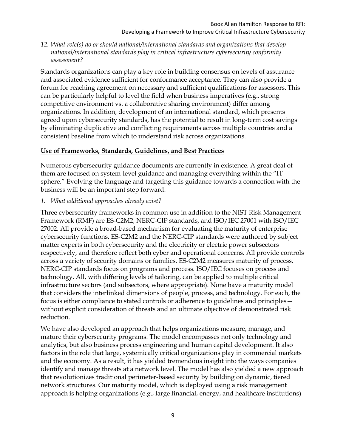*12. What role(s) do or should national/international standards and organizations that develop national/international standards play in critical infrastructure cybersecurity conformity assessment?* 

Standards organizations can play a key role in building consensus on levels of assurance and associated evidence sufficient for conformance acceptance. They can also provide a forum for reaching agreement on necessary and sufficient qualifications for assessors. This can be particularly helpful to level the field when business imperatives (e.g., strong competitive environment vs. a collaborative sharing environment) differ among organizations. In addition, development of an international standard, which presents agreed upon cybersecurity standards, has the potential to result in long-term cost savings by eliminating duplicative and conflicting requirements across multiple countries and a consistent baseline from which to understand risk across organizations.

#### **Use of Frameworks, Standards, Guidelines, and Best Practices**

Numerous cybersecurity guidance documents are currently in existence. A great deal of them are focused on system-level guidance and managing everything within the "IT sphere." Evolving the language and targeting this guidance towards a connection with the business will be an important step forward.

#### *1. What additional approaches already exist?*

Three cybersecurity frameworks in common use in addition to the NIST Risk Management Framework (RMF) are ES-C2M2, NERC-CIP standards, and ISO/IEC 27001 with ISO/IEC 27002. All provide a broad-based mechanism for evaluating the maturity of enterprise cybersecurity functions. ES-C2M2 and the NERC-CIP standards were authored by subject matter experts in both cybersecurity and the electricity or electric power subsectors respectively, and therefore reflect both cyber and operational concerns. All provide controls across a variety of security domains or families. ES-C2M2 measures maturity of process. NERC-CIP standards focus on programs and process. ISO/IEC focuses on process and technology. All, with differing levels of tailoring, can be applied to multiple critical infrastructure sectors (and subsectors, where appropriate). None have a maturity model that considers the interlinked dimensions of people, process, and technology. For each, the focus is either compliance to stated controls or adherence to guidelines and principles without explicit consideration of threats and an ultimate objective of demonstrated risk reduction.

 analytics, but also business process engineering and human capital development. It also We have also developed an approach that helps organizations measure, manage, and mature their cybersecurity programs. The model encompasses not only technology and factors in the role that large, systemically critical organizations play in commercial markets and the economy. As a result, it has yielded tremendous insight into the ways companies identify and manage threats at a network level. The model has also yielded a new approach that revolutionizes traditional perimeter-based security by building on dynamic, tiered network structures. Our maturity model, which is deployed using a risk management approach is helping organizations (e.g., large financial, energy, and healthcare institutions)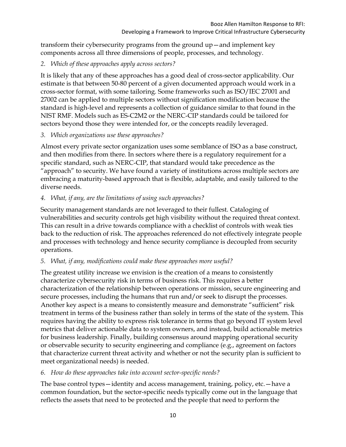transform their cybersecurity programs from the ground up—and implement key components across all three dimensions of people, processes, and technology.

#### *2. Which of these approaches apply across sectors?*

It is likely that any of these approaches has a good deal of cross-sector applicability. Our estimate is that between 50-80 percent of a given documented approach would work in a cross-sector format, with some tailoring. Some frameworks such as ISO/IEC 27001 and 27002 can be applied to multiple sectors without signification modification because the standard is high-level and represents a collection of guidance similar to that found in the NIST RMF. Models such as ES-C2M2 or the NERC-CIP standards could be tailored for sectors beyond those they were intended for, or the concepts readily leveraged.

#### *3. Which organizations use these approaches?*

Almost every private sector organization uses some semblance of ISO as a base construct, and then modifies from there. In sectors where there is a regulatory requirement for a specific standard, such as NERC-CIP, that standard would take precedence as the "approach" to security. We have found a variety of institutions across multiple sectors are embracing a maturity-based approach that is flexible, adaptable, and easily tailored to the diverse needs.

# *4. What, if any, are the limitations of using such approaches?*

Security management standards are not leveraged to their fullest. Cataloging of vulnerabilities and security controls get high visibility without the required threat context. This can result in a drive towards compliance with a checklist of controls with weak ties back to the reduction of risk. The approaches referenced do not effectively integrate people and processes with technology and hence security compliance is decoupled from security operations.

# *5. What, if any, modifications could make these approaches more useful?*

The greatest utility increase we envision is the creation of a means to consistently characterize cybersecurity risk in terms of business risk. This requires a better characterization of the relationship between operations or mission, secure engineering and secure processes, including the humans that run and/or seek to disrupt the processes. Another key aspect is a means to consistently measure and demonstrate "sufficient" risk treatment in terms of the business rather than solely in terms of the state of the system. This requires having the ability to express risk tolerance in terms that go beyond IT system level metrics that deliver actionable data to system owners, and instead, build actionable metrics for business leadership. Finally, building consensus around mapping operational security or observable security to security engineering and compliance (e.g., agreement on factors that characterize current threat activity and whether or not the security plan is sufficient to meet organizational needs) is needed.

# *6. How do these approaches take into account sector-specific needs?*

 reflects the assets that need to be protected and the people that need to perform the The base control types—identity and access management, training, policy, etc.—have a common foundation, but the sector-specific needs typically come out in the language that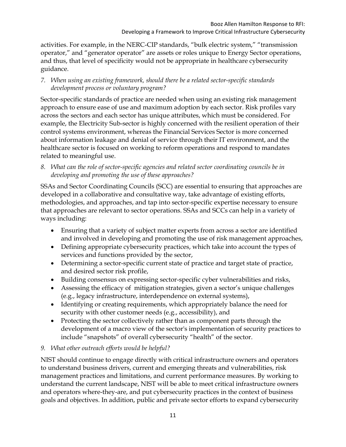activities. For example, in the NERC-CIP standards, "bulk electric system," "transmission operator," and "generator operator" are assets or roles unique to Energy Sector operations, and thus, that level of specificity would not be appropriate in healthcare cybersecurity guidance.

*7. When using an existing framework, should there be a related sector-specific standards development process or voluntary program?* 

Sector-specific standards of practice are needed when using an existing risk management approach to ensure ease of use and maximum adoption by each sector. Risk profiles vary across the sectors and each sector has unique attributes, which must be considered. For example, the Electricity Sub-sector is highly concerned with the resilient operation of their control systems environment, whereas the Financial Services Sector is more concerned about information leakage and denial of service through their IT environment, and the healthcare sector is focused on working to reform operations and respond to mandates related to meaningful use.

*8. What can the role of sector-specific agencies and related sector coordinating councils be in developing and promoting the use of these approaches?* 

SSAs and Sector Coordinating Councils (SCC) are essential to ensuring that approaches are developed in a collaborative and consultative way, take advantage of existing efforts, methodologies, and approaches, and tap into sector-specific expertise necessary to ensure that approaches are relevant to sector operations. SSAs and SCCs can help in a variety of ways including:

- Ensuring that a variety of subject matter experts from across a sector are identified and involved in developing and promoting the use of risk management approaches,
- Defining appropriate cybersecurity practices, which take into account the types of services and functions provided by the sector,
- Determining a sector-specific current state of practice and target state of practice, and desired sector risk profile,
- Building consensus on expressing sector-specific cyber vulnerabilities and risks,
- Assessing the efficacy of mitigation strategies, given a sector's unique challenges (e.g., legacy infrastructure, interdependence on external systems),
- Identifying or creating requirements, which appropriately balance the need for security with other customer needs (e.g., accessibility), and
- Protecting the sector collectively rather than as component parts through the development of a macro view of the sector's implementation of security practices to include "snapshots" of overall cybersecurity "health" of the sector.

# *9. What other outreach efforts would be helpful?*

NIST should continue to engage directly with critical infrastructure owners and operators to understand business drivers, current and emerging threats and vulnerabilities, risk management practices and limitations, and current performance measures. By working to understand the current landscape, NIST will be able to meet critical infrastructure owners and operators where-they-are, and put cybersecurity practices in the context of business goals and objectives. In addition, public and private sector efforts to expand cybersecurity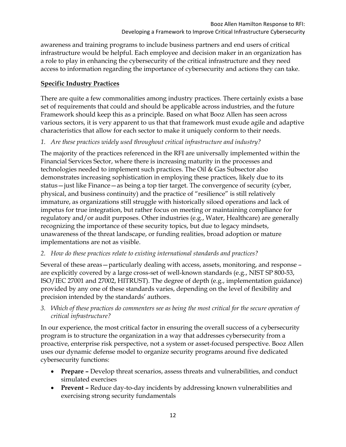awareness and training programs to include business partners and end users of critical infrastructure would be helpful. Each employee and decision maker in an organization has a role to play in enhancing the cybersecurity of the critical infrastructure and they need access to information regarding the importance of cybersecurity and actions they can take.

# **Specific Industry Practices**

There are quite a few commonalities among industry practices. There certainly exists a base set of requirements that could and should be applicable across industries, and the future Framework should keep this as a principle. Based on what Booz Allen has seen across various sectors, it is very apparent to us that that framework must exude agile and adaptive characteristics that allow for each sector to make it uniquely conform to their needs.

# *1. Are these practices widely used throughout critical infrastructure and industry?*

The majority of the practices referenced in the RFI are universally implemented within the Financial Services Sector, where there is increasing maturity in the processes and technologies needed to implement such practices. The Oil & Gas Subsector also demonstrates increasing sophistication in employing these practices, likely due to its status—just like Finance—as being a top tier target. The convergence of security (cyber, physical, and business continuity) and the practice of "resilience" is still relatively immature, as organizations still struggle with historically siloed operations and lack of impetus for true integration, but rather focus on meeting or maintaining compliance for regulatory and/or audit purposes. Other industries (e.g., Water, Healthcare) are generally recognizing the importance of these security topics, but due to legacy mindsets, unawareness of the threat landscape, or funding realities, broad adoption or mature implementations are not as visible.

# *2. How do these practices relate to existing international standards and practices?*

Several of these areas—particularly dealing with access, assets, monitoring, and response – are explicitly covered by a large cross-set of well-known standards (e.g., NIST SP 800-53, ISO/IEC 27001 and 27002, HITRUST). The degree of depth (e.g., implementation guidance) provided by any one of these standards varies, depending on the level of flexibility and precision intended by the standards' authors.

*3. Which of these practices do commenters see as being the most critical for the secure operation of critical infrastructure?* 

 cybersecurity functions: In our experience, the most critical factor in ensuring the overall success of a cybersecurity program is to structure the organization in a way that addresses cybersecurity from a proactive, enterprise risk perspective, not a system or asset-focused perspective. Booz Allen uses our dynamic defense model to organize security programs around five dedicated

- **Prepare –** Develop threat scenarios, assess threats and vulnerabilities, and conduct simulated exercises
- **Prevent** Reduce day-to-day incidents by addressing known vulnerabilities and exercising strong security fundamentals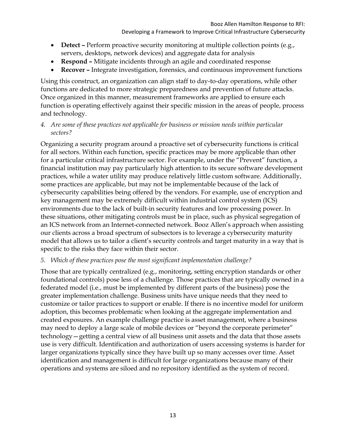- Detect Perform proactive security monitoring at multiple collection points (e.g., servers, desktops, network devices) and aggregate data for analysis
- **Respond** Mitigate incidents through an agile and coordinated response
- **Recover** Integrate investigation, forensics, and continuous improvement functions

Using this construct, an organization can align staff to day-to-day operations, while other functions are dedicated to more strategic preparedness and prevention of future attacks. Once organized in this manner, measurement frameworks are applied to ensure each function is operating effectively against their specific mission in the areas of people, process and technology.

*4. Are some of these practices not applicable for business or mission needs within particular sectors?* 

Organizing a security program around a proactive set of cybersecurity functions is critical for all sectors. Within each function, specific practices may be more applicable than other for a particular critical infrastructure sector. For example, under the "Prevent" function, a financial institution may pay particularly high attention to its secure software development practices, while a water utility may produce relatively little custom software. Additionally, some practices are applicable, but may not be implementable because of the lack of cybersecurity capabilities being offered by the vendors. For example, use of encryption and key management may be extremely difficult within industrial control system (ICS) environments due to the lack of built-in security features and low processing power. In these situations, other mitigating controls must be in place, such as physical segregation of an ICS network from an Internet-connected network. Booz Allen's approach when assisting our clients across a broad spectrum of subsectors is to leverage a cybersecurity maturity model that allows us to tailor a client's security controls and target maturity in a way that is specific to the risks they face within their sector.

# *5. Which of these practices pose the most significant implementation challenge?*

Those that are typically centralized (e.g., monitoring, setting encryption standards or other foundational controls) pose less of a challenge. Those practices that are typically owned in a federated model (i.e., must be implemented by different parts of the business) pose the greater implementation challenge. Business units have unique needs that they need to customize or tailor practices to support or enable. If there is no incentive model for uniform adoption, this becomes problematic when looking at the aggregate implementation and created exposures. An example challenge practice is asset management, where a business may need to deploy a large scale of mobile devices or "beyond the corporate perimeter" technology—getting a central view of all business unit assets and the data that those assets use is very difficult. Identification and authorization of users accessing systems is harder for larger organizations typically since they have built up so many accesses over time. Asset identification and management is difficult for large organizations because many of their operations and systems are siloed and no repository identified as the system of record.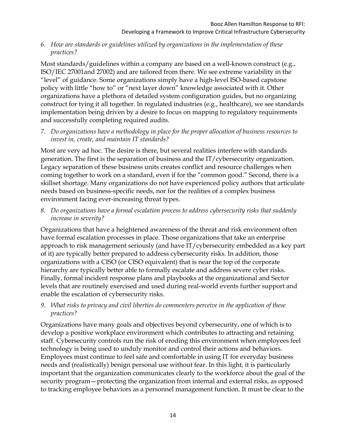#### *6. How are standards or guidelines utilized by organizations in the implementation of these practices?*

Most standards/guidelines within a company are based on a well-known construct (e.g., ISO/IEC 27001and 27002) and are tailored from there. We see extreme variability in the "level" of guidance. Some organizations simply have a high-level ISO-based capstone policy with little "how to" or "next layer down" knowledge associated with it. Other organizations have a plethora of detailed system configuration guides, but no organizing construct for tying it all together. In regulated industries (e.g., healthcare), we see standards implementation being driven by a desire to focus on mapping to regulatory requirements and successfully completing required audits.

*7. Do organizations have a methodology in place for the proper allocation of business resources to invest in, create, and maintain IT standards?* 

Most are very ad hoc. The desire is there, but several realities interfere with standards generation. The first is the separation of business and the IT/cybersecurity organization. Legacy separation of these business units creates conflict and resource challenges when coming together to work on a standard, even if for the "common good." Second, there is a skillset shortage. Many organizations do not have experienced policy authors that articulate needs based on business-specific needs, nor for the realities of a complex business environment facing ever-increasing threat types.

*8. Do organizations have a formal escalation process to address cybersecurity risks that suddenly increase in severity?* 

Organizations that have a heightened awareness of the threat and risk environment often have formal escalation processes in place. Those organizations that take an enterprise approach to risk management seriously (and have IT/cybersecurity embedded as a key part of it) are typically better prepared to address cybersecurity risks. In addition, those organizations with a CISO (or CISO equivalent) that is near the top of the corporate hierarchy are typically better able to formally escalate and address severe cyber risks. Finally, formal incident response plans and playbooks at the organizational and Sector levels that are routinely exercised and used during real-world events further support and enable the escalation of cybersecurity risks.

# *9. What risks to privacy and civil liberties do commenters perceive in the application of these practices?*

Organizations have many goals and objectives beyond cybersecurity, one of which is to develop a positive workplace environment which contributes to attracting and retaining staff. Cybersecurity controls run the risk of eroding this environment when employees feel technology is being used to unduly monitor and control their actions and behaviors. Employees must continue to feel safe and comfortable in using IT for everyday business needs and (realistically) benign personal use without fear. In this light, it is particularly important that the organization communicates clearly to the workforce about the goal of the security program—protecting the organization from internal and external risks, as opposed to tracking employee behaviors as a personnel management function. It must be clear to the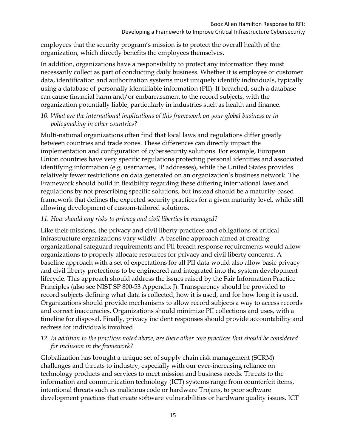employees that the security program's mission is to protect the overall health of the organization, which directly benefits the employees themselves.

In addition, organizations have a responsibility to protect any information they must necessarily collect as part of conducting daily business. Whether it is employee or customer data, identification and authorization systems must uniquely identify individuals, typically using a database of personally identifiable information (PII). If breached, such a database can cause financial harm and/or embarrassment to the record subjects, with the organization potentially liable, particularly in industries such as health and finance.

*10. What are the international implications of this framework on your global business or in policymaking in other countries?* 

Multi-national organizations often find that local laws and regulations differ greatly between countries and trade zones. These differences can directly impact the implementation and configuration of cybersecurity solutions. For example, European Union countries have very specific regulations protecting personal identities and associated identifying information (e.g. usernames, IP addresses), while the United States provides relatively fewer restrictions on data generated on an organization's business network. The Framework should build in flexibility regarding these differing international laws and regulations by not prescribing specific solutions, but instead should be a maturity-based framework that defines the expected security practices for a given maturity level, while still allowing development of custom-tailored solutions.

# *11. How should any risks to privacy and civil liberties be managed?*

Like their missions, the privacy and civil liberty practices and obligations of critical infrastructure organizations vary wildly. A baseline approach aimed at creating organizational safeguard requirements and PII breach response requirements would allow organizations to properly allocate resources for privacy and civil liberty concerns. A baseline approach with a set of expectations for all PII data would also allow basic privacy and civil liberty protections to be engineered and integrated into the system development lifecycle. This approach should address the issues raised by the Fair Information Practice Principles (also see NIST SP 800-53 Appendix J). Transparency should be provided to record subjects defining what data is collected, how it is used, and for how long it is used. Organizations should provide mechanisms to allow record subjects a way to access records and correct inaccuracies. Organizations should minimize PII collections and uses, with a timeline for disposal. Finally, privacy incident responses should provide accountability and redress for individuals involved.

#### *12. In addition to the practices noted above, are there other core practices that should be considered for inclusion in the framework?*

Globalization has brought a unique set of supply chain risk management (SCRM) challenges and threats to industry, especially with our ever-increasing reliance on technology products and services to meet mission and business needs. Threats to the information and communication technology (ICT) systems range from counterfeit items, intentional threats such as malicious code or hardware Trojans, to poor software development practices that create software vulnerabilities or hardware quality issues. ICT